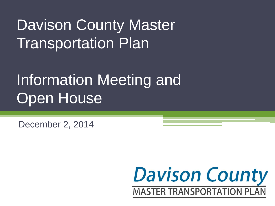# Davison County Master **Transportation Plan**

# Information Meeting and Open House

December 2, 2014

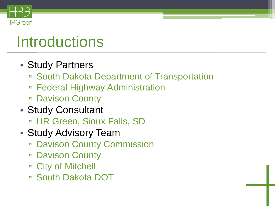

# **Introductions**

- Study Partners
	- South Dakota Department of Transportation
	- Federal Highway Administration
	- Davison County
- Study Consultant
	- HR Green, Sioux Falls, SD
- Study Advisory Team
	- Davison County Commission
	- Davison County
	- □ City of Mitchell
	- South Dakota DOT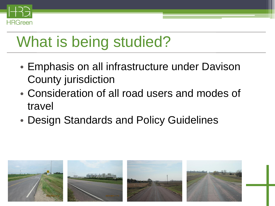

# What is being studied?

- Emphasis on all infrastructure under Davison County jurisdiction
- Consideration of all road users and modes of travel
- Design Standards and Policy Guidelines

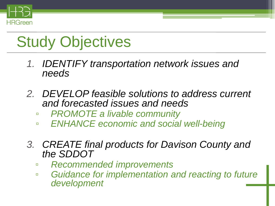

# Study Objectives

- *1. IDENTIFY transportation network issues and needs*
- *2. DEVELOP feasible solutions to address current and forecasted issues and needs*
	- ▫ *PROMOTE a livable community*
	- ▫ *ENHANCE economic and social well-being*
- *3. CREATE final products for Davison County and the SDDOT* 
	- *Recommended improvements*
	- *Guidance for implementation and reacting to future development*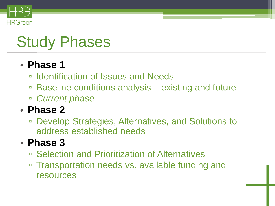

# Study Phases

### • **Phase 1**

- Identification of Issues and Needs
- Baseline conditions analysis existing and future
- *Current phase*

### • **Phase 2**

▫ Develop Strategies, Alternatives, and Solutions to address established needs

### • **Phase 3**

- Selection and Prioritization of Alternatives
- Transportation needs vs. available funding and resources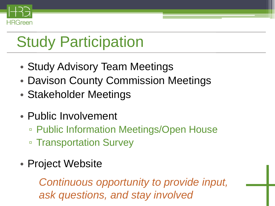

# Study Participation

- Study Advisory Team Meetings
- Davison County Commission Meetings
- Stakeholder Meetings
- Public Involvement
	- Public Information Meetings/Open House ▫ Transportation Survey
- Project Website

*Continuous opportunity to provide input, ask questions, and stay involved*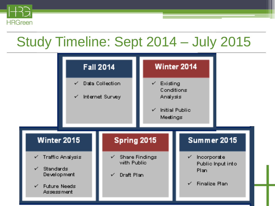

## Study Timeline: Sept 2014 – July 2015

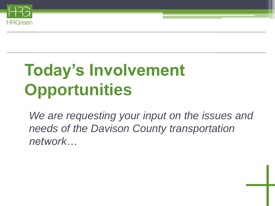

# **Today's Involvement Opportunities**

*We are requesting your input on the issues and needs of the Davison County transportation network…*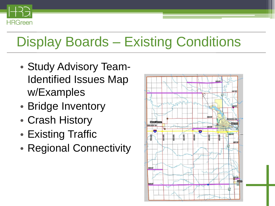

## Display Boards – Existing Conditions

- Study Advisory Team-Identified Issues Map w/Examples
- Bridge Inventory
- Crash History
- Existing Traffic
- Regional Connectivity

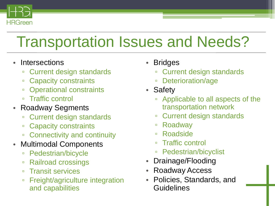

# Transportation Issues and Needs?

- Intersections
	- Current design standards
	- Capacity constraints
	- Operational constraints
	- Traffic control
- Roadway Segments
	- **Current design standards**
	- Capacity constraints
	- Connectivity and continuity
- Multimodal Components
	- □ Pedestrian/bicycle
	- Railroad crossings
	- Transit services
	- Freight/agriculture integration and capabilities
- **Bridges** 
	- Current design standards
	- Deterioration/age
- Safety
	- Applicable to all aspects of the transportation network
	- Current design standards
	- Roadway
	- Roadside
	- Traffic control
	- Pedestrian/bicyclist
- Drainage/Flooding
- Roadway Access
- Policies, Standards, and Guidelines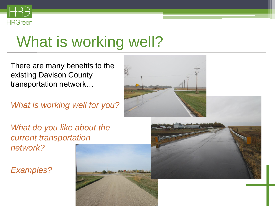

# What is working well?

There are many benefits to the existing Davison County transportation network…

*What is working well for you?* 

*What do you like about the current transportation network?*

*Examples?*



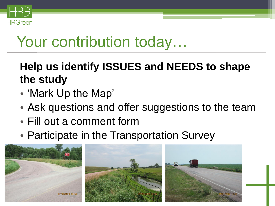

# Your contribution today...

## **Help us identify ISSUES and NEEDS to shape the study**

- 'Mark Up the Map'
- Ask questions and offer suggestions to the team
- Fill out a comment form
- Participate in the Transportation Survey